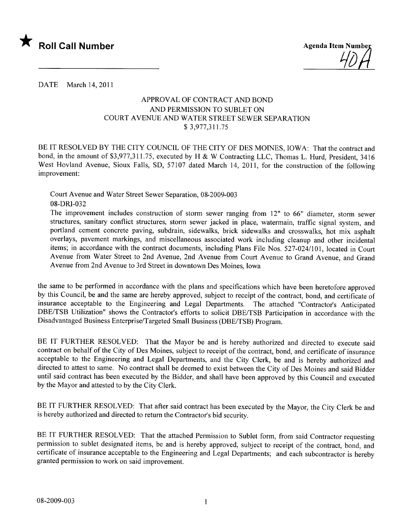

DATE March 14, 2011

# APPROV AL OF CONTRACT AND BOND AND PERMISSION TO SUBLET ON COURT AVENUE AND WATER STREET SEWER SEPARATION \$ 3,977,311. 75

BE IT RESOLVED BY THE CITY COUNCIL OF THE CITY OF DES MOINES, IOWA: That the contract and bond, in the amount of \$3,977,311.75, executed by H & W Contracting LLC, Thomas L. Hurd, President, 3416 West Hovland Avenue, Sioux Falls, SD, 57107 dated March 14, 2011, for the construction of the following improvement:

Court Avenue and Water Street Sewer Separation, 08-2009-003 08-DRI-032

The improvement includes construction of storm sewer ranging from 12" to 66" diameter, storm sewer structures, sanitary conflict structures, storm sewer jacked in place, watermain, traffic signal system, and portland cement concrete paving, subdrain, sidewalks, brick sidewalks and crosswalks, hot mix asphalt overlays, pavement markings, and miscellaneous associated work including cleanup and other incidental items; in accordance with the contract documents, including Plans File Nos. 527-024/101, located in Court Avenue from Water Street to 2nd Avenue, 2nd Avenue from Court Avenue to Grand Avenue, and Grand Avenue from 2nd Avenue to 3rd Street in downtown Des Moines, Iowa

the same to be performed in accordance with the plans and specifications which have been heretofore approved by this Council, be and the same are hereby approved, subject to receipt of the contract, bond, and certificate of insurance acceptable to the Engineering and Legal Departments. The attached "Contractor's Anticipated DBE/TSB Utilization" shows the Contractor's efforts to solicit DBE/TSB Participation in accordance with the Disadvantaged Business Enterprise/Targeted Small Business (DBE/TSB) Program.

BE IT FURTHER RESOLVED: That the Mayor be and is hereby authorized and directed to execute said contract on behalf of the City of Des Moines, subject to receipt of the contract, bond, and certificate of insurance acceptable to the Engineering and Legal Departments, and the City Clerk, be and is hereby authorized and directed to attest to same. No contract shall be deemed to exist between the City of Des Moines and said Bidder until said contract has been executed by the Bidder, and shall have been approved by this Council and executed by the Mayor and attested to by the City Clerk.

BE IT FURTHER RESOLVED: That after said contract has been executed by the Mayor, the City Clerk be and is hereby authorized and directed to return the Contractor's bid security.

BE IT FURTHER RESOLVED: That the attached Permission to Sublet form, from said Contractor requesting permission to sublet designated items, be and is hereby approved, subject to receipt of the contract, bond, and certificate of insurance acceptable to the Engineering and Legal Departments; and each subcontractor is hereby granted permission to work on said improvement.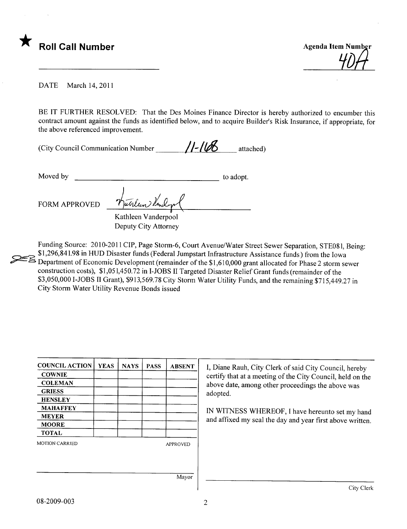

**Agenda Item Number** 

**DATE** March 14, 2011

BE IT FURTHER RESOLVED: That the Des Moines Finance Director is hereby authorized to encumber this contract amount against the funds as identified below, and to acquire Builder's Risk Insurance, if appropriate, for the above referenced improvement.

| (City Council Communication Number) | $11 - 168$ | attached) |
|-------------------------------------|------------|-----------|
|-------------------------------------|------------|-----------|

Moved by

to adopt.

**FORM APPROVED** 

Kathleen Vanderpool Deputy City Attorney

Funding Source: 2010-2011 CIP, Page Storm-6, Court Avenue/Water Street Sewer Separation, STE081, Being: \$1,296,841.98 in HUD Disaster funds (Federal Jumpstart Infrastructure Assistance funds) from the Iowa B Department of Economic Development (remainder of the \$1,610,000 grant allocated for Phase 2 storm sewer construction costs), \$1,051,450.72 in I-JOBS II Targeted Disaster Relief Grant funds (remainder of the \$3,050,000 I-JOBS II Grant), \$913,569.78 City Storm Water Utility Funds, and the remaining \$715,449.27 in City Storm Water Utility Revenue Bonds issued

| <b>COUNCIL ACTION</b> | <b>YEAS</b> | <b>NAYS</b> | <b>PASS</b> | <b>ABSENT</b>   | I, Diane Rauh, City Clerk of said City Council, hereby     |
|-----------------------|-------------|-------------|-------------|-----------------|------------------------------------------------------------|
| <b>COWNIE</b>         |             |             |             |                 | certify that at a meeting of the City Council, held on the |
| <b>COLEMAN</b>        |             |             |             |                 | above date, among other proceedings the above was          |
| <b>GRIESS</b>         |             |             |             |                 | adopted.                                                   |
| <b>HENSLEY</b>        |             |             |             |                 |                                                            |
| <b>MAHAFFEY</b>       |             |             |             |                 | IN WITNESS WHEREOF, I have hereunto set my hand            |
| <b>MEYER</b>          |             |             |             |                 | and affixed my seal the day and year first above written.  |
| <b>MOORE</b>          |             |             |             |                 |                                                            |
| <b>TOTAL</b>          |             |             |             |                 |                                                            |
| <b>MOTION CARRIED</b> |             |             |             | <b>APPROVED</b> |                                                            |
|                       |             |             |             |                 |                                                            |
|                       |             |             |             |                 |                                                            |
|                       |             |             |             |                 |                                                            |
|                       |             |             |             | Mayor           |                                                            |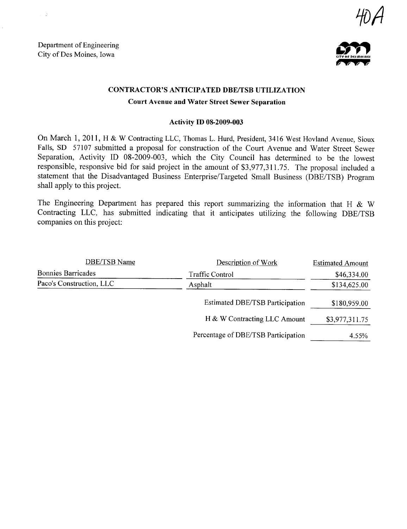Department of Engineering Department of Engineering<br>City of Des Moines, Iowa

 $\sim$  -  $2$ 





### CONTRACTOR'S ANTICIPATED DBE/TSB UTILIZATION

### Court Avenue and Water Street Sewer Separation

#### Activity ID 08-2009-003

On March 1, 2011, H & W Contracting LLC, Thomas L. Hurd, President, 3416 West Hovland Avenue, Sioux Falls, SD 57107 submitted a proposal for construction of the Court Avenue and Water Street Sewer Separation, Activity ID 08-2009-003, which the City Council has determined to be the lowest responsible, responsive bid for said project in the amount of \$3,977,311.75. The proposal included a statement that the Disadvantaged Business Enterprise/Targeted Small Business (DBE/TSB) Program shall apply to this project.

The Engineering Department has prepared this report summarizing the information that H  $\&$  W Contracting LLC, has submitted indicating that it anticipates utilizing the following DBE/TSB companies on this project:

| DBE/TSB Name              | Description of Work                    | <b>Estimated Amount</b> |  |
|---------------------------|----------------------------------------|-------------------------|--|
| <b>Bonnies Barricades</b> | <b>Traffic Control</b>                 | \$46,334.00             |  |
| Paco's Construction, LLC  | Asphalt                                | \$134,625.00            |  |
|                           | <b>Estimated DBE/TSB Participation</b> | \$180,959.00            |  |
|                           | H & W Contracting LLC Amount           | \$3,977,311.75          |  |
|                           | Percentage of DBE/TSB Participation    | 4.55%                   |  |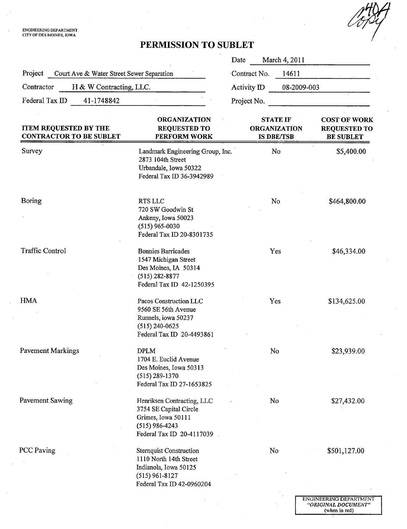ENGINEERING DEPARTMENT<br>CITY OF DES MOINES, IOWA

&'

(when in red)

# PERMISSION TO SUBLET

|                                                                |                                                                                                                                    | Date                                                        | March 4, 2011 |                                                                |  |
|----------------------------------------------------------------|------------------------------------------------------------------------------------------------------------------------------------|-------------------------------------------------------------|---------------|----------------------------------------------------------------|--|
| Project<br>Court Ave & Water Street Sewer Separation           | Contract No.                                                                                                                       | 14611                                                       |               |                                                                |  |
| Contractor<br>H & W Contracting, LLC.                          |                                                                                                                                    | Activity ID                                                 | 08-2009-003   |                                                                |  |
| Federal Tax ID<br>41-1748842                                   |                                                                                                                                    | Project No.                                                 |               |                                                                |  |
| <b>ITEM REQUESTED BY THE</b><br><b>CONTRACTOR TO BE SUBLET</b> | <b>ORGANIZATION</b><br><b>REQUESTED TO</b><br>PERFORM WORK                                                                         | <b>STATE IF</b><br><b>ORGANIZATION</b><br><b>IS DBE/TSB</b> |               | <b>COST OF WORK</b><br><b>REQUESTED TO</b><br><b>BE SUBLET</b> |  |
| Survey                                                         | Landmark Engineering Group, Inc.<br>2873 104th Street<br>Urbandale, Iowa 50322<br>Federal Tax ID 36-3942989                        |                                                             | No            | \$5,400.00                                                     |  |
| Boring                                                         | RTS LLC<br>720 SW Goodwin St<br>Ankeny, Iowa 50023<br>$(515)$ 965-0030<br>Federal Tax ID 20-8301735                                |                                                             | No            | \$464,800.00                                                   |  |
| <b>Traffic Control</b>                                         | <b>Bonnies Barricades</b><br>1547 Michigan Street<br>Des Moines, IA 50314<br>$(515) 282 - 8877$<br>Federal Tax ID 42-1250395       |                                                             | Yes           | \$46,334.00                                                    |  |
| <b>HMA</b>                                                     | Pacos Construction LLC<br>9560 SE 56th Avenue<br>Runnels, iowa 50237<br>$(515)$ 240-0625<br>Federal Tax ID 20-4493861              |                                                             | Yes           | \$134,625.00                                                   |  |
| <b>Pavement Markings</b>                                       | <b>DPLM</b><br>1704 E. Euclid Avenue<br>Des Moines, Iowa 50313<br>$(515)$ 289-1370<br>Federal Tax ID 27-1653825                    | No                                                          |               | \$23,939.00                                                    |  |
| Pavement Sawing                                                | Henriksen Contracting, LLC<br>3754 SE Capital Circle<br>Grimes, Iowa 50111<br>$(515)$ 986-4243<br>Federal Tax ID 20-4117039        | No                                                          |               | \$27,432.00                                                    |  |
| <b>PCC Paving</b>                                              | <b>Sternquist Construction</b><br>1110 North 14th Street<br>Indianola, Iowa 50125<br>$(515)$ 961-8127<br>Federal Tax ID 42-0960204 | No                                                          |               | \$501,127.00                                                   |  |
|                                                                |                                                                                                                                    |                                                             |               | ENGINEERING DEPARTMENT<br>"ORIGINAL DOCUMENT"                  |  |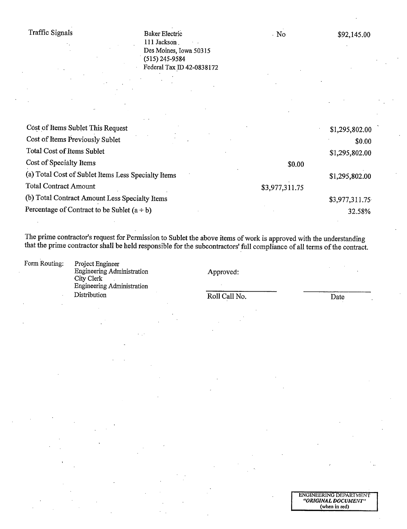Baker Electric 111 Jackson Des Moines, Iowa 50315  $(515)$  245-9584 Federal Tax ID 42-0838172

 $\cdot$  No

| Cost of Items Sublet This Request                   |                | \$1,295,802.00 |
|-----------------------------------------------------|----------------|----------------|
| Cost of Items Previously Sublet                     |                | \$0.00         |
| <b>Total Cost of Items Sublet</b>                   |                | \$1,295,802.00 |
| Cost of Specialty Items                             | \$0.00         |                |
| (a) Total Cost of Sublet Items Less Specialty Items |                | \$1,295,802.00 |
| <b>Total Contract Amount</b>                        | \$3,977,311.75 |                |
| (b) Total Contract Amount Less Specialty Items      |                | \$3,977,311.75 |
| Percentage of Contract to be Sublet $(a \div b)$    |                | 32.58%         |
|                                                     |                |                |

The prime contractor's request for Permission to Sublet the above items of work is approved with the understanding that the prime contractor shall be held responsible for the subcontractors' full compliance of all terms of the contract.

Form Routing:

Engineering Administration City Clerk Engineering Administration Distribution

Project Engineer

Approved:

Roll Call No.

Date

ENGINEERING DEPARTMENT<br>"ORIGINAL DOCUMENT" (when in red)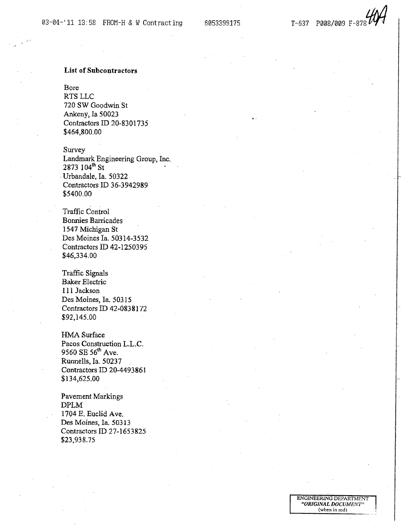6053399175 T-637 P008/009 F-878~

i

i

I  $\cdot$  f

I

I

i

real concerns.<br>The concerns of the

i !

I-

I rrenannel.<br>T ¡

I

! I

i

ENGINEERIG DEPARTMENT "ORIGINAL DOCUMENT" (when in red)

## List of Subcontractors

Bore RTS LLC 720 SW Goodwin St Ankeny, Ia 50023 Contractors ID 20-8301735 \$464,800.00

Survey Landmark Engineering Group, Inc.  $2873 \, 104^{\text{th}} \, \text{St}$  . The state of  $\sim$ . Urbandale, Ia. 50322 Contractors ID 36-3942989 \$5400.00

Traffic Control Bonnies Barricades 1547 Michigan St Des Moines la. 50314-3532 Contractors iD 42.1250395 \$46,334.00

Traffic Signals Baker Electric 111 Jackson Des Moines, Ia. 50315 Contractors ID 42-0838172 \$92.145.00

HMA Surface Pacos Construction L.L.C. 9560 SE 56<sup>th</sup> Ave. Runnells, Ia. 50237 Contractors ID 20-4493861 \$134,625,00

Pavement Markings DPLM 1704 E, Euclid Ave. Des Moines, la, 50313 Contractors ID 27-1653825 \$23,938.75